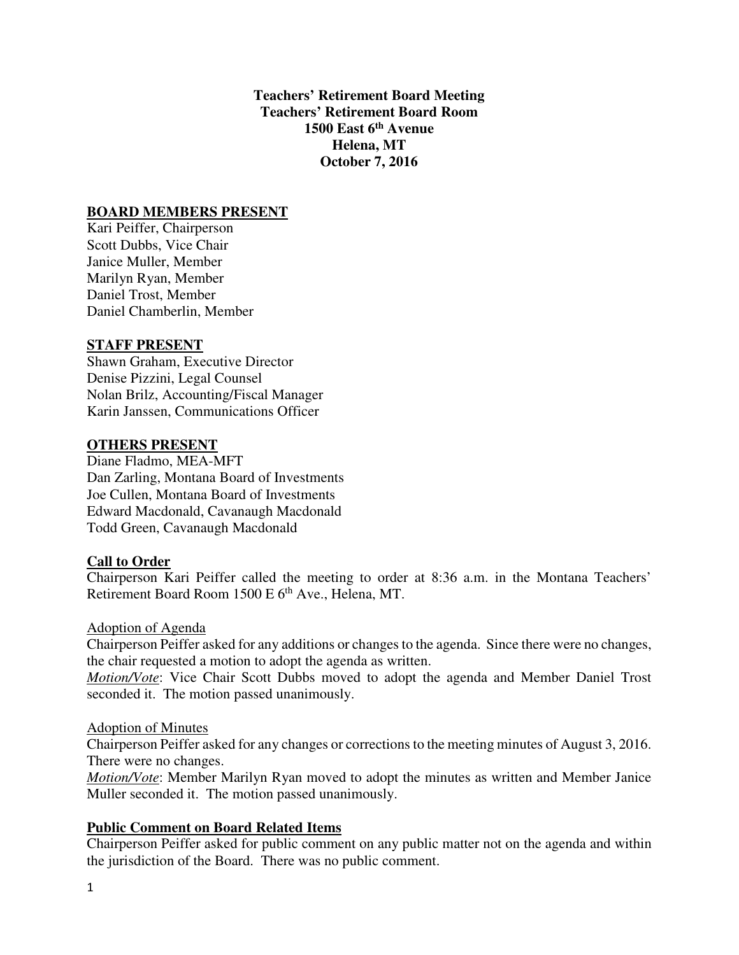**Teachers' Retirement Board Meeting Teachers' Retirement Board Room 1500 East 6th Avenue Helena, MT October 7, 2016** 

## **BOARD MEMBERS PRESENT**

Kari Peiffer, Chairperson Scott Dubbs, Vice Chair Janice Muller, Member Marilyn Ryan, Member Daniel Trost, Member Daniel Chamberlin, Member

## **STAFF PRESENT**

Shawn Graham, Executive Director Denise Pizzini, Legal Counsel Nolan Brilz, Accounting/Fiscal Manager Karin Janssen, Communications Officer

#### **OTHERS PRESENT**

Diane Fladmo, MEA-MFT Dan Zarling, Montana Board of Investments Joe Cullen, Montana Board of Investments Edward Macdonald, Cavanaugh Macdonald Todd Green, Cavanaugh Macdonald

## **Call to Order**

Chairperson Kari Peiffer called the meeting to order at 8:36 a.m. in the Montana Teachers' Retirement Board Room 1500 E 6<sup>th</sup> Ave., Helena, MT.

#### Adoption of Agenda

Chairperson Peiffer asked for any additions or changes to the agenda. Since there were no changes, the chair requested a motion to adopt the agenda as written.

*Motion/Vote*: Vice Chair Scott Dubbs moved to adopt the agenda and Member Daniel Trost seconded it. The motion passed unanimously.

#### Adoption of Minutes

Chairperson Peiffer asked for any changes or corrections to the meeting minutes of August 3, 2016. There were no changes.

*Motion/Vote*: Member Marilyn Ryan moved to adopt the minutes as written and Member Janice Muller seconded it. The motion passed unanimously.

## **Public Comment on Board Related Items**

Chairperson Peiffer asked for public comment on any public matter not on the agenda and within the jurisdiction of the Board. There was no public comment.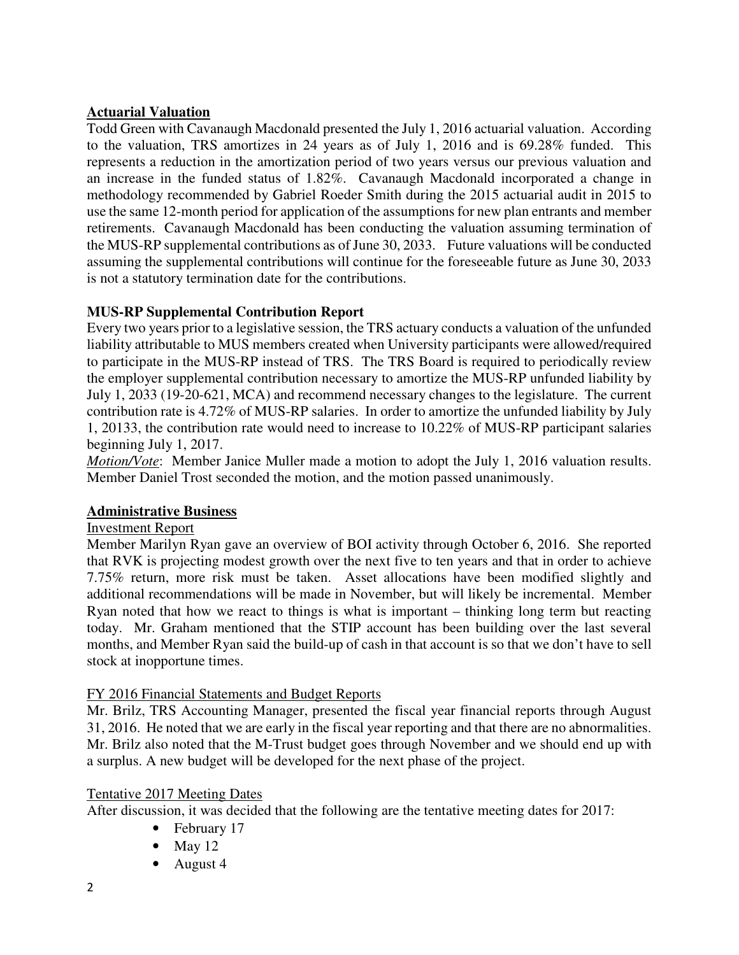# **Actuarial Valuation**

Todd Green with Cavanaugh Macdonald presented the July 1, 2016 actuarial valuation. According to the valuation, TRS amortizes in 24 years as of July 1, 2016 and is 69.28% funded. This represents a reduction in the amortization period of two years versus our previous valuation and an increase in the funded status of 1.82%. Cavanaugh Macdonald incorporated a change in methodology recommended by Gabriel Roeder Smith during the 2015 actuarial audit in 2015 to use the same 12-month period for application of the assumptions for new plan entrants and member retirements. Cavanaugh Macdonald has been conducting the valuation assuming termination of the MUS-RP supplemental contributions as of June 30, 2033. Future valuations will be conducted assuming the supplemental contributions will continue for the foreseeable future as June 30, 2033 is not a statutory termination date for the contributions.

# **MUS-RP Supplemental Contribution Report**

Every two years prior to a legislative session, the TRS actuary conducts a valuation of the unfunded liability attributable to MUS members created when University participants were allowed/required to participate in the MUS-RP instead of TRS. The TRS Board is required to periodically review the employer supplemental contribution necessary to amortize the MUS-RP unfunded liability by July 1, 2033 (19-20-621, MCA) and recommend necessary changes to the legislature. The current contribution rate is 4.72% of MUS-RP salaries. In order to amortize the unfunded liability by July 1, 20133, the contribution rate would need to increase to 10.22% of MUS-RP participant salaries beginning July 1, 2017.

*Motion/Vote*: Member Janice Muller made a motion to adopt the July 1, 2016 valuation results. Member Daniel Trost seconded the motion, and the motion passed unanimously.

# **Administrative Business**

# Investment Report

Member Marilyn Ryan gave an overview of BOI activity through October 6, 2016. She reported that RVK is projecting modest growth over the next five to ten years and that in order to achieve 7.75% return, more risk must be taken. Asset allocations have been modified slightly and additional recommendations will be made in November, but will likely be incremental. Member Ryan noted that how we react to things is what is important – thinking long term but reacting today. Mr. Graham mentioned that the STIP account has been building over the last several months, and Member Ryan said the build-up of cash in that account is so that we don't have to sell stock at inopportune times.

# FY 2016 Financial Statements and Budget Reports

Mr. Brilz, TRS Accounting Manager, presented the fiscal year financial reports through August 31, 2016. He noted that we are early in the fiscal year reporting and that there are no abnormalities. Mr. Brilz also noted that the M-Trust budget goes through November and we should end up with a surplus. A new budget will be developed for the next phase of the project.

# Tentative 2017 Meeting Dates

After discussion, it was decided that the following are the tentative meeting dates for 2017:

- February 17
- May  $12$
- August 4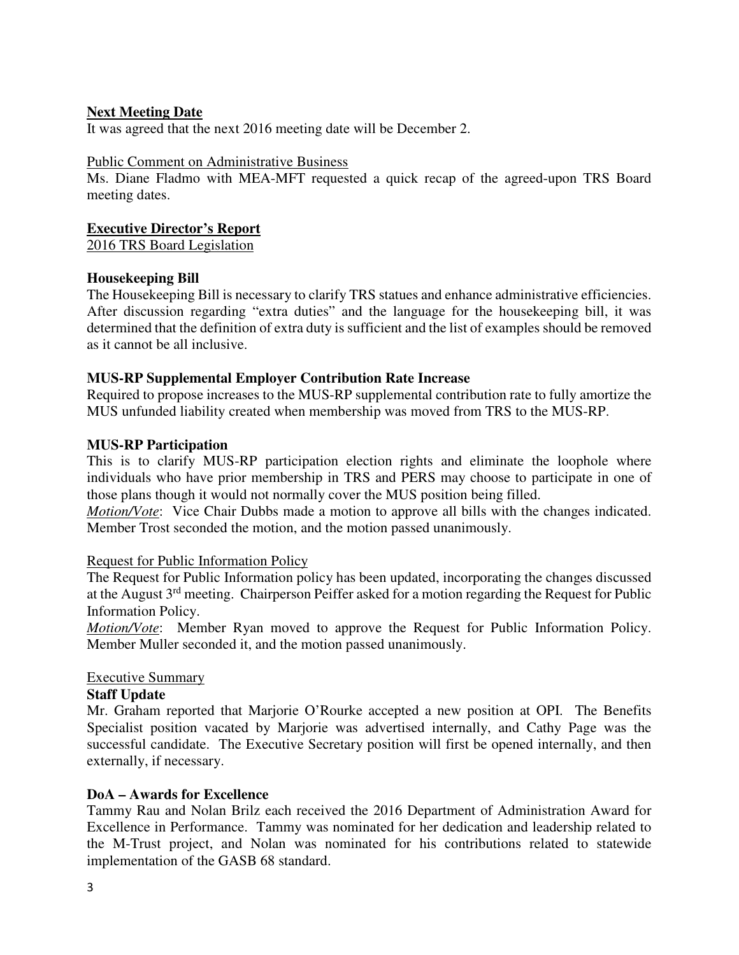## **Next Meeting Date**

It was agreed that the next 2016 meeting date will be December 2.

#### Public Comment on Administrative Business

Ms. Diane Fladmo with MEA-MFT requested a quick recap of the agreed-upon TRS Board meeting dates.

#### **Executive Director's Report**

2016 TRS Board Legislation

## **Housekeeping Bill**

The Housekeeping Bill is necessary to clarify TRS statues and enhance administrative efficiencies. After discussion regarding "extra duties" and the language for the housekeeping bill, it was determined that the definition of extra duty is sufficient and the list of examples should be removed as it cannot be all inclusive.

## **MUS-RP Supplemental Employer Contribution Rate Increase**

Required to propose increases to the MUS-RP supplemental contribution rate to fully amortize the MUS unfunded liability created when membership was moved from TRS to the MUS-RP.

#### **MUS-RP Participation**

This is to clarify MUS-RP participation election rights and eliminate the loophole where individuals who have prior membership in TRS and PERS may choose to participate in one of those plans though it would not normally cover the MUS position being filled.

*Motion/Vote*: Vice Chair Dubbs made a motion to approve all bills with the changes indicated. Member Trost seconded the motion, and the motion passed unanimously.

#### Request for Public Information Policy

The Request for Public Information policy has been updated, incorporating the changes discussed at the August 3rd meeting. Chairperson Peiffer asked for a motion regarding the Request for Public Information Policy.

*Motion/Vote*: Member Ryan moved to approve the Request for Public Information Policy. Member Muller seconded it, and the motion passed unanimously.

#### Executive Summary

## **Staff Update**

Mr. Graham reported that Marjorie O'Rourke accepted a new position at OPI. The Benefits Specialist position vacated by Marjorie was advertised internally, and Cathy Page was the successful candidate. The Executive Secretary position will first be opened internally, and then externally, if necessary.

#### **DoA – Awards for Excellence**

Tammy Rau and Nolan Brilz each received the 2016 Department of Administration Award for Excellence in Performance. Tammy was nominated for her dedication and leadership related to the M-Trust project, and Nolan was nominated for his contributions related to statewide implementation of the GASB 68 standard.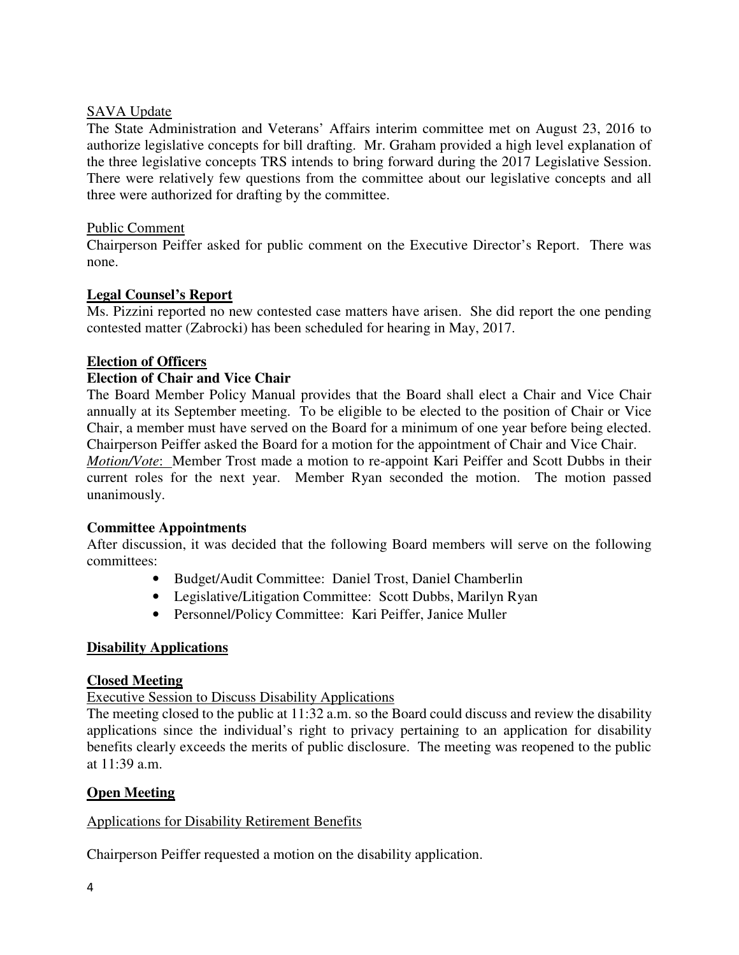## SAVA Update

The State Administration and Veterans' Affairs interim committee met on August 23, 2016 to authorize legislative concepts for bill drafting. Mr. Graham provided a high level explanation of the three legislative concepts TRS intends to bring forward during the 2017 Legislative Session. There were relatively few questions from the committee about our legislative concepts and all three were authorized for drafting by the committee.

## Public Comment

Chairperson Peiffer asked for public comment on the Executive Director's Report. There was none.

## **Legal Counsel's Report**

Ms. Pizzini reported no new contested case matters have arisen. She did report the one pending contested matter (Zabrocki) has been scheduled for hearing in May, 2017.

## **Election of Officers**

## **Election of Chair and Vice Chair**

The Board Member Policy Manual provides that the Board shall elect a Chair and Vice Chair annually at its September meeting. To be eligible to be elected to the position of Chair or Vice Chair, a member must have served on the Board for a minimum of one year before being elected. Chairperson Peiffer asked the Board for a motion for the appointment of Chair and Vice Chair. *Motion/Vote*: Member Trost made a motion to re-appoint Kari Peiffer and Scott Dubbs in their

current roles for the next year. Member Ryan seconded the motion. The motion passed unanimously.

## **Committee Appointments**

After discussion, it was decided that the following Board members will serve on the following committees:

- Budget/Audit Committee: Daniel Trost, Daniel Chamberlin
- Legislative/Litigation Committee: Scott Dubbs, Marilyn Ryan
- Personnel/Policy Committee: Kari Peiffer, Janice Muller

## **Disability Applications**

#### **Closed Meeting**

Executive Session to Discuss Disability Applications

The meeting closed to the public at 11:32 a.m. so the Board could discuss and review the disability applications since the individual's right to privacy pertaining to an application for disability benefits clearly exceeds the merits of public disclosure. The meeting was reopened to the public at 11:39 a.m.

## **Open Meeting**

## Applications for Disability Retirement Benefits

Chairperson Peiffer requested a motion on the disability application.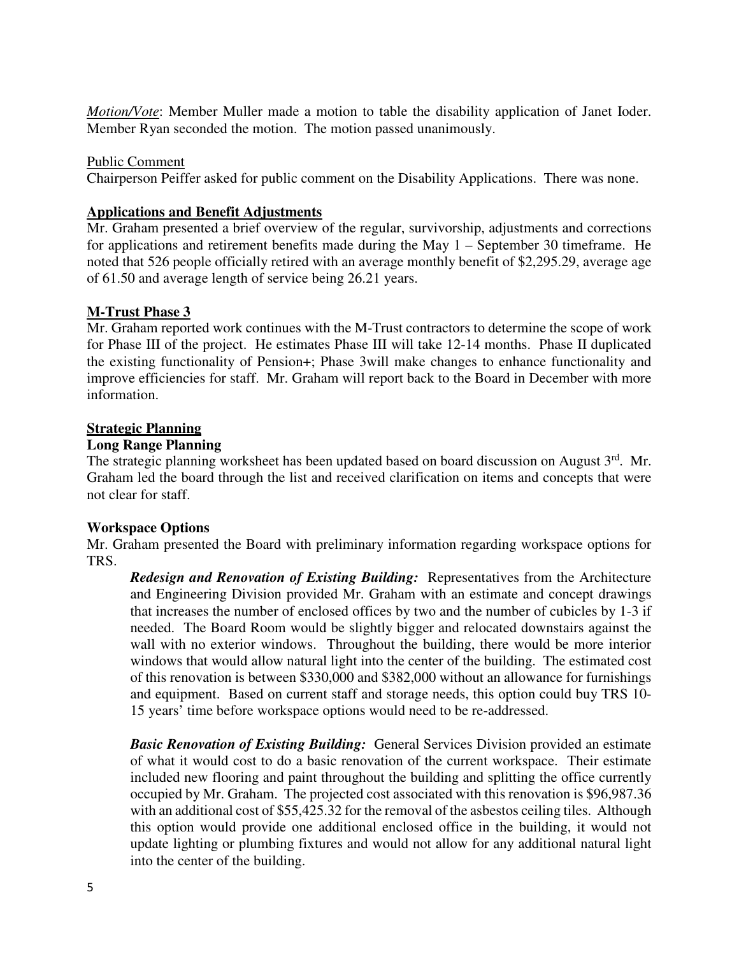*Motion/Vote*: Member Muller made a motion to table the disability application of Janet Ioder. Member Ryan seconded the motion. The motion passed unanimously.

## Public Comment

Chairperson Peiffer asked for public comment on the Disability Applications. There was none.

## **Applications and Benefit Adjustments**

Mr. Graham presented a brief overview of the regular, survivorship, adjustments and corrections for applications and retirement benefits made during the May 1 – September 30 timeframe. He noted that 526 people officially retired with an average monthly benefit of \$2,295.29, average age of 61.50 and average length of service being 26.21 years.

## **M-Trust Phase 3**

Mr. Graham reported work continues with the M-Trust contractors to determine the scope of work for Phase III of the project. He estimates Phase III will take 12-14 months. Phase II duplicated the existing functionality of Pension+; Phase 3will make changes to enhance functionality and improve efficiencies for staff. Mr. Graham will report back to the Board in December with more information.

## **Strategic Planning**

## **Long Range Planning**

The strategic planning worksheet has been updated based on board discussion on August 3rd. Mr. Graham led the board through the list and received clarification on items and concepts that were not clear for staff.

## **Workspace Options**

Mr. Graham presented the Board with preliminary information regarding workspace options for TRS.

*Redesign and Renovation of Existing Building:* Representatives from the Architecture and Engineering Division provided Mr. Graham with an estimate and concept drawings that increases the number of enclosed offices by two and the number of cubicles by 1-3 if needed. The Board Room would be slightly bigger and relocated downstairs against the wall with no exterior windows. Throughout the building, there would be more interior windows that would allow natural light into the center of the building. The estimated cost of this renovation is between \$330,000 and \$382,000 without an allowance for furnishings and equipment. Based on current staff and storage needs, this option could buy TRS 10- 15 years' time before workspace options would need to be re-addressed.

*Basic Renovation of Existing Building:* General Services Division provided an estimate of what it would cost to do a basic renovation of the current workspace. Their estimate included new flooring and paint throughout the building and splitting the office currently occupied by Mr. Graham. The projected cost associated with this renovation is \$96,987.36 with an additional cost of \$55,425.32 for the removal of the asbestos ceiling tiles. Although this option would provide one additional enclosed office in the building, it would not update lighting or plumbing fixtures and would not allow for any additional natural light into the center of the building.